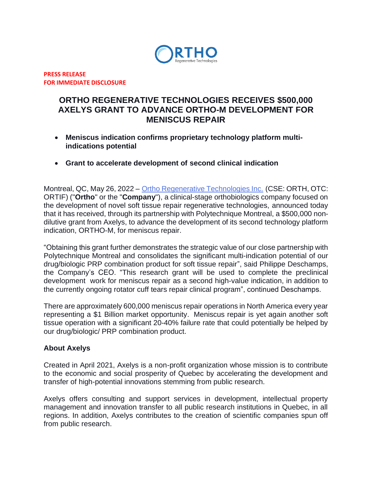

**PRESS RELEASE FOR IMMEDIATE DISCLOSURE**

# **ORTHO REGENERATIVE TECHNOLOGIES RECEIVES \$500,000 AXELYS GRANT TO ADVANCE ORTHO-M DEVELOPMENT FOR MENISCUS REPAIR**

- **Meniscus indication confirms proprietary technology platform multiindications potential**
- **Grant to accelerate development of second clinical indication**

Montreal, QC, May 26, 2022 – [Ortho Regenerative Technologies Inc.](https://www.orthorti.com/) (CSE: ORTH, OTC: ORTIF) ("**Ortho**" or the "**Company**"), a clinical-stage orthobiologics company focused on the development of novel soft tissue repair regenerative technologies, announced today that it has received, through its partnership with Polytechnique Montreal, a \$500,000 nondilutive grant from Axelys, to advance the development of its second technology platform indication, ORTHO-M, for meniscus repair.

"Obtaining this grant further demonstrates the strategic value of our close partnership with Polytechnique Montreal and consolidates the significant multi-indication potential of our drug/biologic PRP combination product for soft tissue repair", said Philippe Deschamps, the Company's CEO. "This research grant will be used to complete the preclinical development work for meniscus repair as a second high-value indication, in addition to the currently ongoing rotator cuff tears repair clinical program", continued Deschamps.

There are approximately 600,000 meniscus repair operations in North America every year representing a \$1 Billion market opportunity. Meniscus repair is yet again another soft tissue operation with a significant 20-40% failure rate that could potentially be helped by our drug/biologic/ PRP combination product.

#### **About Axelys**

Created in April 2021, Axelys is a non-profit organization whose mission is to contribute to the economic and social prosperity of Quebec by accelerating the development and transfer of high-potential innovations stemming from public research.

Axelys offers consulting and support services in development, intellectual property management and innovation transfer to all public research institutions in Quebec, in all regions. In addition, Axelys contributes to the creation of scientific companies spun off from public research.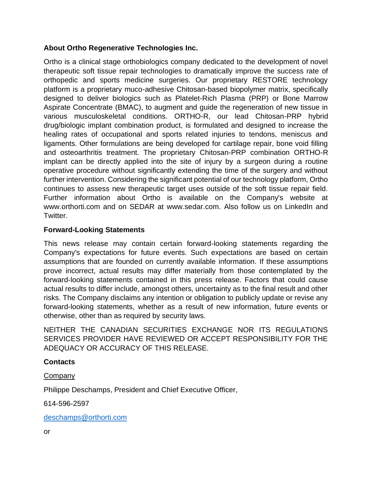## **About Ortho Regenerative Technologies Inc.**

Ortho is a clinical stage orthobiologics company dedicated to the development of novel therapeutic soft tissue repair technologies to dramatically improve the success rate of orthopedic and sports medicine surgeries. Our proprietary RESTORE technology platform is a proprietary muco-adhesive Chitosan-based biopolymer matrix, specifically designed to deliver biologics such as Platelet-Rich Plasma (PRP) or Bone Marrow Aspirate Concentrate (BMAC), to augment and guide the regeneration of new tissue in various musculoskeletal conditions. ORTHO-R, our lead Chitosan-PRP hybrid drug/biologic implant combination product, is formulated and designed to increase the healing rates of occupational and sports related injuries to tendons, meniscus and ligaments. Other formulations are being developed for cartilage repair, bone void filling and osteoarthritis treatment. The proprietary Chitosan-PRP combination ORTHO-R implant can be directly applied into the site of injury by a surgeon during a routine operative procedure without significantly extending the time of the surgery and without further intervention. Considering the significant potential of our technology platform, Ortho continues to assess new therapeutic target uses outside of the soft tissue repair field. Further information about Ortho is available on the Company's website at www.orthorti.com and on SEDAR at www.sedar.com. Also follow us on LinkedIn and Twitter.

## **Forward-Looking Statements**

This news release may contain certain forward-looking statements regarding the Company's expectations for future events. Such expectations are based on certain assumptions that are founded on currently available information. If these assumptions prove incorrect, actual results may differ materially from those contemplated by the forward-looking statements contained in this press release. Factors that could cause actual results to differ include, amongst others, uncertainty as to the final result and other risks. The Company disclaims any intention or obligation to publicly update or revise any forward-looking statements, whether as a result of new information, future events or otherwise, other than as required by security laws.

NEITHER THE CANADIAN SECURITIES EXCHANGE NOR ITS REGULATIONS SERVICES PROVIDER HAVE REVIEWED OR ACCEPT RESPONSIBILITY FOR THE ADEQUACY OR ACCURACY OF THIS RELEASE.

## **Contacts**

## Company

Philippe Deschamps, President and Chief Executive Officer,

614-596-2597

[deschamps@orthorti.com](mailto:deschamps@orthorti.com)